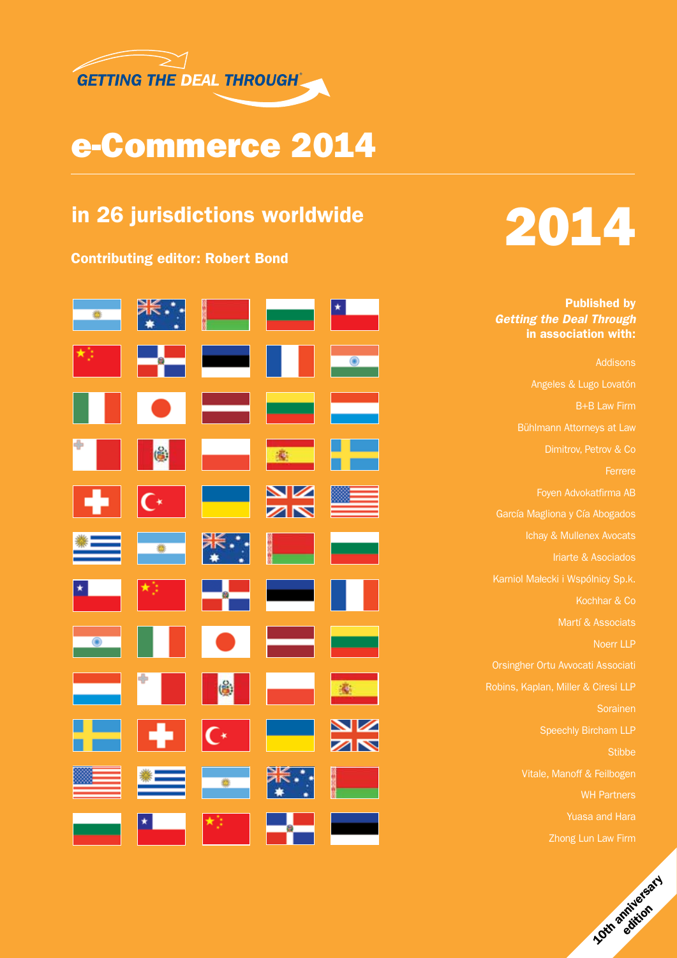

## e-Commerce 2014

## in 26 jurisdictions worldwide

Contributing editor: Robert Bond



# 2014

Published by *Getting the Deal Through* in association with:

[Addisons](#page-0-0) [Angeles & Lugo Lovatón](#page-0-0) [B+B Law Firm](#page-0-0) [Dimitrov, Petrov & Co](#page-0-0) [Ferrere](#page-0-0) [Foyen Advokatfirma AB](#page-0-0) [García Magliona y Cía Abogados](#page-0-0) [Iriarte & Asociados](#page-0-0) [Kochhar & Co](#page-0-0) [Martí & Associats](#page-0-0) [Noerr LLP](#page-0-0) [Orsingher Ortu Avvocati Associati](#page-0-0) [Robins, Kaplan, Miller & Ciresi LLP](#page-0-0) [Sorainen](#page-0-0) [Speechly Bircham LLP](#page-0-0) **[Stibbe](#page-0-0)** [Vitale, Manoff & Feilbogen](#page-0-0) [WH Partners](#page-0-0) [Zhong Lun Law Firm](#page-0-0)

<span id="page-0-0"></span>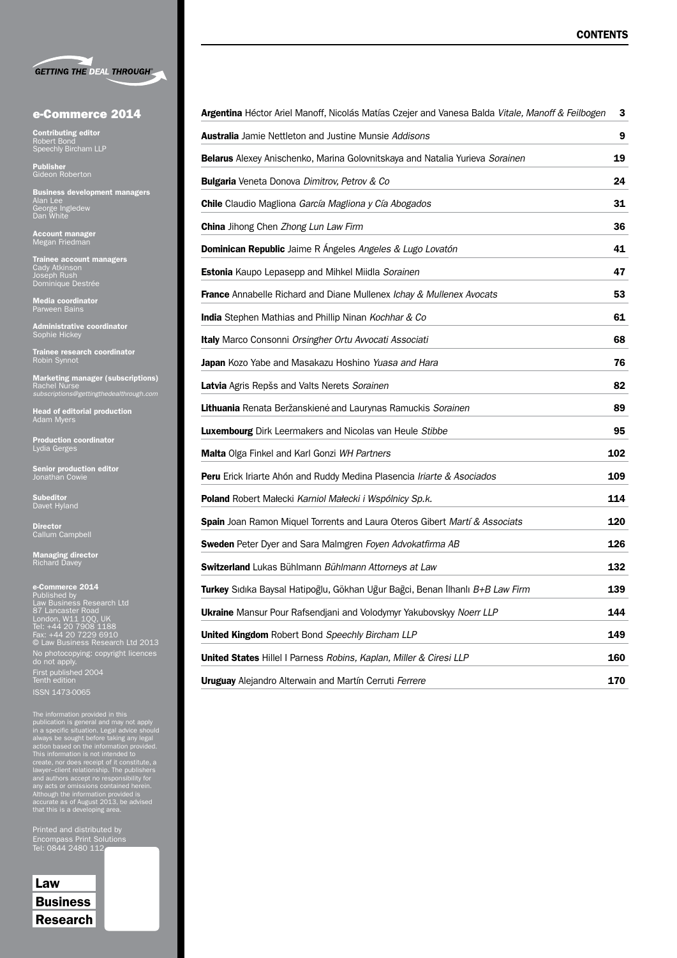|  | <b>GETTING THE DEAL THROUGH®</b> |
|--|----------------------------------|

#### e-Commerce 2014

**Contributing editor**<br>Robert Bond<br>Speechly Bircham LLP

Publisher Gideon Roberton

**Business development managers<br>Alan Lee<br>George Ingledew<br>Dan White** 

Account manager Megan Friedman

**Trainee account managers<br>Cady Atkinson<br>Joseph Rush<br>Dominique Destrée** 

Media coordinator Parween Bains

**Administrative coordinator**<br>Sophie Hickey

**Trainee research coordinator**<br>Robin Synnot

Marketing manager (subscriptions) Rachel Nurse *subscriptions@gettingthedealthrough.com*

**Head of editorial production**<br>Adam Myers

Production coordinator<br>Lydia Gerges

**Senior production editor<br>Jonathan Cowie** 

Subeditor<br>Davet Hyland

**Director**<br>Callum Campbell

**Managing director**<br>Richard Davey

e-**Commerce 2014**<br>Law Business Research Ltd<br>87 Lancaster Road<br>London, W11 1QQ, UK<br>Tel: +44 20 7229 1188<br>Fax: +44 20 7229 6910<br>© Law Business Research Ltd 2013 No photocopying: copyright licences do not apply. First published 2004 Tenth edition

The information provided in this<br>publication is general and may not apply<br>in a specific situation. Legal advice should<br>always be sought before taking any legal<br>action based on the information provided.<br>This information is

Printed and distributed by Encompass Print Solutions Tel: 0844 2480 112

| Law      |
|----------|
| Business |
| Research |

| <b>Argentina</b> Héctor Ariel Manoff, Nicolás Matías Czejer and Vanesa Balda <i>Vitale, Manoff &amp; Feilbogen</i> | 3   |
|--------------------------------------------------------------------------------------------------------------------|-----|
| <b>Australia</b> Jamie Nettleton and Justine Munsie Addisons                                                       | 9   |
| <b>Belarus</b> Alexey Anischenko, Marina Golovnitskaya and Natalia Yurieva Sorainen                                | 19  |
| <b>Bulgaria</b> Veneta Donova Dimitrov, Petrov & Co                                                                | 24  |
| <b>Chile</b> Claudio Magliona García Magliona y Cía Abogados                                                       | 31  |
| <b>China</b> Jihong Chen Zhong Lun Law Firm                                                                        | 36  |
| <b>Dominican Republic</b> Jaime R Angeles Angeles & Lugo Lovatón                                                   | 41  |
| <b>Estonia</b> Kaupo Lepasepp and Mihkel Miidla Sorainen                                                           | 47  |
| <b>France</b> Annabelle Richard and Diane Mullenex Ichay & Mullenex Avocats                                        | 53  |
| <b>India</b> Stephen Mathias and Phillip Ninan Kochhar & Co                                                        | 61  |
| <b>Italy</b> Marco Consonni Orsingher Ortu Avvocati Associati                                                      | 68  |
| <b>Japan</b> Kozo Yabe and Masakazu Hoshino Yuasa and Hara                                                         | 76  |
| Latvia Agris Repšs and Valts Nerets Sorainen                                                                       | 82  |
| Lithuania Renata Beržanskienė and Laurynas Ramuckis Sorainen                                                       | 89  |
| <b>Luxembourg</b> Dirk Leermakers and Nicolas van Heule Stibbe                                                     | 95  |
| <b>Malta</b> Olga Finkel and Karl Gonzi WH Partners                                                                | 102 |
| <b>Peru</b> Erick Iriarte Ahón and Ruddy Medina Plasencia Iriarte & Asociados                                      | 109 |
| <b>Poland</b> Robert Małecki Karniol Małecki i Wspólnicy Sp.k.                                                     |     |
| <b>Spain</b> Joan Ramon Miquel Torrents and Laura Oteros Gibert Martí & Associats                                  | 120 |
| <b>Sweden</b> Peter Dyer and Sara Malmgren Foyen Advokatfirma AB                                                   | 126 |
| Switzerland Lukas Bühlmann Bühlmann Attorneys at Law                                                               | 132 |
| <b>Turkey</b> Sıdıka Baysal Hatipoğlu, Gökhan Uğur Bağci, Benan İlhanlı <i>B+B Law Firm</i>                        | 139 |
| <b>Ukraine</b> Mansur Pour Rafsendjani and Volodymyr Yakubovskyy Noerr LLP                                         | 144 |
| <b>United Kingdom</b> Robert Bond Speechly Bircham LLP                                                             |     |
| United States Hillel I Parness Robins, Kaplan, Miller & Ciresi LLP                                                 |     |
| <b>Uruguay</b> Alejandro Alterwain and Martín Cerruti Ferrere                                                      | 170 |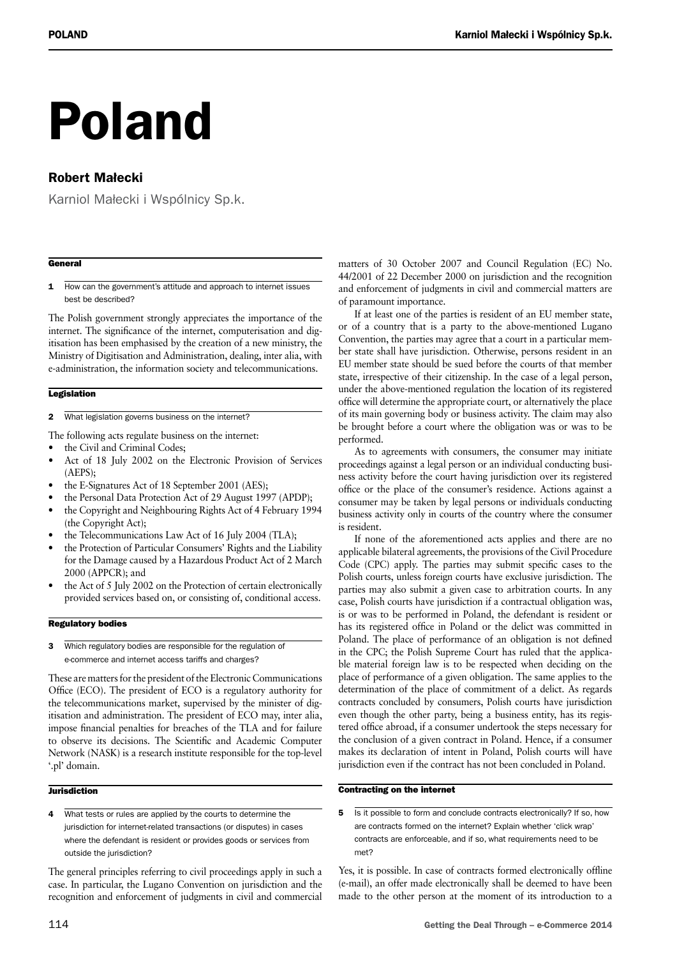# Poland

### Robert Małecki

Karniol Małecki i Wspólnicy Sp.k.

#### **General**

1 How can the government's attitude and approach to internet issues best be described?

The Polish government strongly appreciates the importance of the internet. The significance of the internet, computerisation and digitisation has been emphasised by the creation of a new ministry, the Ministry of Digitisation and Administration, dealing, inter alia, with e-administration, the information society and telecommunications.

#### **Legislation**

2 What legislation governs business on the internet?

The following acts regulate business on the internet:

- the Civil and Criminal Codes;
- Act of 18 July 2002 on the Electronic Provision of Services (AEPS);
- the E-Signatures Act of 18 September 2001 (AES);
- the Personal Data Protection Act of 29 August 1997 (APDP);
- the Copyright and Neighbouring Rights Act of 4 February 1994 (the Copyright Act);
- the Telecommunications Law Act of 16 July 2004 (TLA);
- the Protection of Particular Consumers' Rights and the Liability for the Damage caused by a Hazardous Product Act of 2 March 2000 (APPCR); and
- the Act of 5 July 2002 on the Protection of certain electronically provided services based on, or consisting of, conditional access.

#### Regulatory bodies

3 Which regulatory bodies are responsible for the regulation of e-commerce and internet access tariffs and charges?

These are matters for the president of the Electronic Communications Office (ECO). The president of ECO is a regulatory authority for the telecommunications market, supervised by the minister of digitisation and administration. The president of ECO may, inter alia, impose financial penalties for breaches of the TLA and for failure to observe its decisions. The Scientific and Academic Computer Network (NASK) is a research institute responsible for the top-level '.pl' domain.

#### **Jurisdiction**

4 What tests or rules are applied by the courts to determine the jurisdiction for internet-related transactions (or disputes) in cases where the defendant is resident or provides goods or services from outside the jurisdiction?

The general principles referring to civil proceedings apply in such a case. In particular, the Lugano Convention on jurisdiction and the recognition and enforcement of judgments in civil and commercial matters of 30 October 2007 and Council Regulation (EC) No. 44/2001 of 22 December 2000 on jurisdiction and the recognition and enforcement of judgments in civil and commercial matters are of paramount importance.

If at least one of the parties is resident of an EU member state, or of a country that is a party to the above-mentioned Lugano Convention, the parties may agree that a court in a particular member state shall have jurisdiction. Otherwise, persons resident in an EU member state should be sued before the courts of that member state, irrespective of their citizenship. In the case of a legal person, under the above-mentioned regulation the location of its registered office will determine the appropriate court, or alternatively the place of its main governing body or business activity. The claim may also be brought before a court where the obligation was or was to be performed.

As to agreements with consumers, the consumer may initiate proceedings against a legal person or an individual conducting business activity before the court having jurisdiction over its registered office or the place of the consumer's residence. Actions against a consumer may be taken by legal persons or individuals conducting business activity only in courts of the country where the consumer is resident.

If none of the aforementioned acts applies and there are no applicable bilateral agreements, the provisions of the Civil Procedure Code (CPC) apply. The parties may submit specific cases to the Polish courts, unless foreign courts have exclusive jurisdiction. The parties may also submit a given case to arbitration courts. In any case, Polish courts have jurisdiction if a contractual obligation was, is or was to be performed in Poland, the defendant is resident or has its registered office in Poland or the delict was committed in Poland. The place of performance of an obligation is not defined in the CPC; the Polish Supreme Court has ruled that the applicable material foreign law is to be respected when deciding on the place of performance of a given obligation. The same applies to the determination of the place of commitment of a delict. As regards contracts concluded by consumers, Polish courts have jurisdiction even though the other party, being a business entity, has its registered office abroad, if a consumer undertook the steps necessary for the conclusion of a given contract in Poland. Hence, if a consumer makes its declaration of intent in Poland, Polish courts will have jurisdiction even if the contract has not been concluded in Poland.

#### Contracting on the internet

5 Is it possible to form and conclude contracts electronically? If so, how are contracts formed on the internet? Explain whether 'click wrap' contracts are enforceable, and if so, what requirements need to be met?

Yes, it is possible. In case of contracts formed electronically offline (e-mail), an offer made electronically shall be deemed to have been made to the other person at the moment of its introduction to a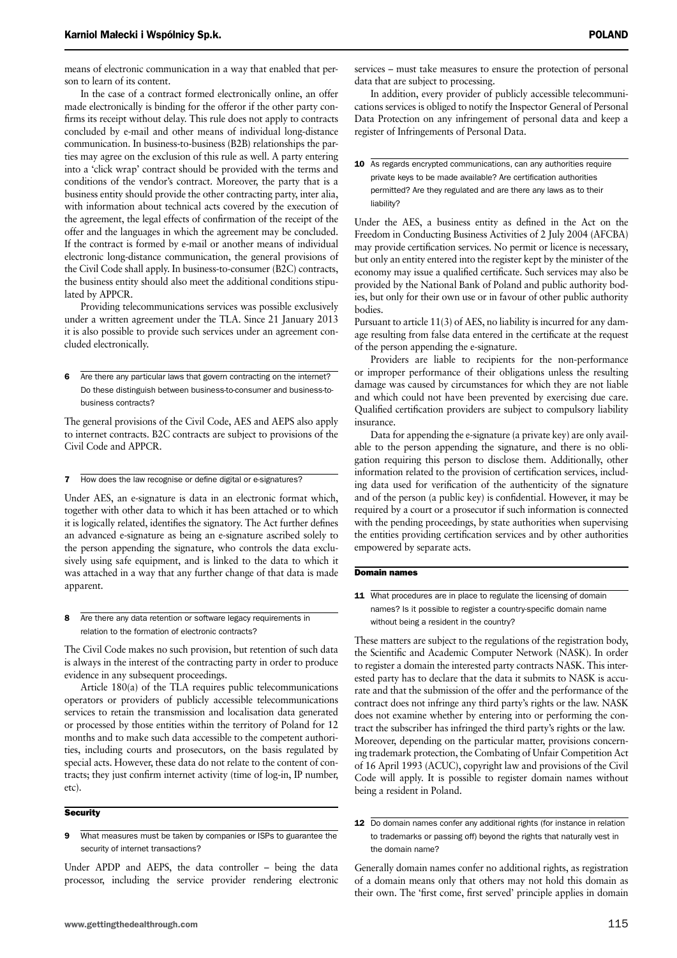means of electronic communication in a way that enabled that person to learn of its content.

In the case of a contract formed electronically online, an offer made electronically is binding for the offeror if the other party confirms its receipt without delay. This rule does not apply to contracts concluded by e-mail and other means of individual long-distance communication. In business-to-business (B2B) relationships the parties may agree on the exclusion of this rule as well. A party entering into a 'click wrap' contract should be provided with the terms and conditions of the vendor's contract. Moreover, the party that is a business entity should provide the other contracting party, inter alia, with information about technical acts covered by the execution of the agreement, the legal effects of confirmation of the receipt of the offer and the languages in which the agreement may be concluded. If the contract is formed by e-mail or another means of individual electronic long-distance communication, the general provisions of the Civil Code shall apply. In business-to-consumer (B2C) contracts, the business entity should also meet the additional conditions stipulated by APPCR.

Providing telecommunications services was possible exclusively under a written agreement under the TLA. Since 21 January 2013 it is also possible to provide such services under an agreement concluded electronically.

6 Are there any particular laws that govern contracting on the internet? Do these distinguish between business-to-consumer and business-tobusiness contracts?

The general provisions of the Civil Code, AES and AEPS also apply to internet contracts. B2C contracts are subject to provisions of the Civil Code and APPCR.

7 How does the law recognise or define digital or e-signatures?

Under AES, an e-signature is data in an electronic format which, together with other data to which it has been attached or to which it is logically related, identifies the signatory. The Act further defines an advanced e-signature as being an e-signature ascribed solely to the person appending the signature, who controls the data exclusively using safe equipment, and is linked to the data to which it was attached in a way that any further change of that data is made apparent.

8 Are there any data retention or software legacy requirements in relation to the formation of electronic contracts?

The Civil Code makes no such provision, but retention of such data is always in the interest of the contracting party in order to produce evidence in any subsequent proceedings.

Article 180(a) of the TLA requires public telecommunications operators or providers of publicly accessible telecommunications services to retain the transmission and localisation data generated or processed by those entities within the territory of Poland for 12 months and to make such data accessible to the competent authorities, including courts and prosecutors, on the basis regulated by special acts. However, these data do not relate to the content of contracts; they just confirm internet activity (time of log-in, IP number, etc).

#### **Security**

9 What measures must be taken by companies or ISPs to guarantee the security of internet transactions?

Under APDP and AEPS, the data controller – being the data processor, including the service provider rendering electronic services – must take measures to ensure the protection of personal data that are subject to processing.

In addition, every provider of publicly accessible telecommunications services is obliged to notify the Inspector General of Personal Data Protection on any infringement of personal data and keep a register of Infringements of Personal Data.

10 As regards encrypted communications, can any authorities require private keys to be made available? Are certification authorities permitted? Are they regulated and are there any laws as to their liability?

Under the AES, a business entity as defined in the Act on the Freedom in Conducting Business Activities of 2 July 2004 (AFCBA) may provide certification services. No permit or licence is necessary, but only an entity entered into the register kept by the minister of the economy may issue a qualified certificate. Such services may also be provided by the National Bank of Poland and public authority bodies, but only for their own use or in favour of other public authority bodies.

Pursuant to article 11(3) of AES, no liability is incurred for any damage resulting from false data entered in the certificate at the request of the person appending the e-signature.

Providers are liable to recipients for the non-performance or improper performance of their obligations unless the resulting damage was caused by circumstances for which they are not liable and which could not have been prevented by exercising due care. Qualified certification providers are subject to compulsory liability insurance.

Data for appending the e-signature (a private key) are only available to the person appending the signature, and there is no obligation requiring this person to disclose them. Additionally, other information related to the provision of certification services, including data used for verification of the authenticity of the signature and of the person (a public key) is confidential. However, it may be required by a court or a prosecutor if such information is connected with the pending proceedings, by state authorities when supervising the entities providing certification services and by other authorities empowered by separate acts.

#### Domain names

11 What procedures are in place to regulate the licensing of domain names? Is it possible to register a country-specific domain name without being a resident in the country?

These matters are subject to the regulations of the registration body, the Scientific and Academic Computer Network (NASK). In order to register a domain the interested party contracts NASK. This interested party has to declare that the data it submits to NASK is accurate and that the submission of the offer and the performance of the contract does not infringe any third party's rights or the law. NASK does not examine whether by entering into or performing the contract the subscriber has infringed the third party's rights or the law. Moreover, depending on the particular matter, provisions concerning trademark protection, the Combating of Unfair Competition Act of 16 April 1993 (ACUC), copyright law and provisions of the Civil Code will apply. It is possible to register domain names without being a resident in Poland.

Generally domain names confer no additional rights, as registration of a domain means only that others may not hold this domain as their own. The 'first come, first served' principle applies in domain

<sup>12</sup> Do domain names confer any additional rights (for instance in relation to trademarks or passing off) beyond the rights that naturally vest in the domain name?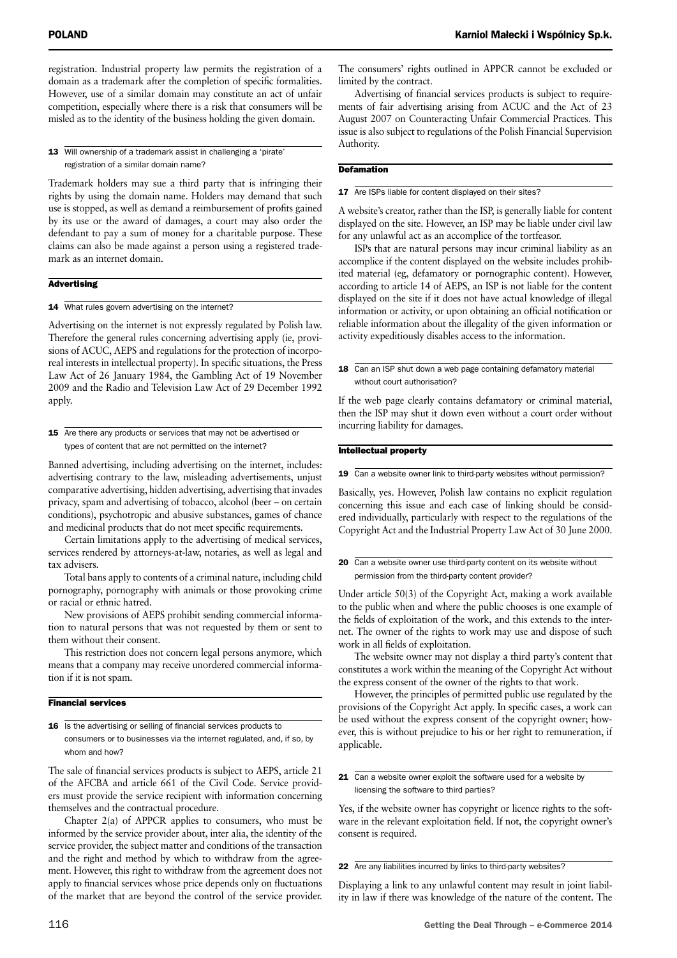registration. Industrial property law permits the registration of a domain as a trademark after the completion of specific formalities. However, use of a similar domain may constitute an act of unfair competition, especially where there is a risk that consumers will be misled as to the identity of the business holding the given domain.

13 Will ownership of a trademark assist in challenging a 'pirate' registration of a similar domain name?

Trademark holders may sue a third party that is infringing their rights by using the domain name. Holders may demand that such use is stopped, as well as demand a reimbursement of profits gained by its use or the award of damages, a court may also order the defendant to pay a sum of money for a charitable purpose. These claims can also be made against a person using a registered trademark as an internet domain.

#### **Advertising**

14 What rules govern advertising on the internet?

Advertising on the internet is not expressly regulated by Polish law. Therefore the general rules concerning advertising apply (ie, provisions of ACUC, AEPS and regulations for the protection of incorporeal interests in intellectual property). In specific situations, the Press Law Act of 26 January 1984, the Gambling Act of 19 November 2009 and the Radio and Television Law Act of 29 December 1992 apply.

15 Are there any products or services that may not be advertised or types of content that are not permitted on the internet?

Banned advertising, including advertising on the internet, includes: advertising contrary to the law, misleading advertisements, unjust comparative advertising, hidden advertising, advertising that invades privacy, spam and advertising of tobacco, alcohol (beer – on certain conditions), psychotropic and abusive substances, games of chance and medicinal products that do not meet specific requirements.

Certain limitations apply to the advertising of medical services, services rendered by attorneys-at-law, notaries, as well as legal and tax advisers.

Total bans apply to contents of a criminal nature, including child pornography, pornography with animals or those provoking crime or racial or ethnic hatred.

New provisions of AEPS prohibit sending commercial information to natural persons that was not requested by them or sent to them without their consent.

This restriction does not concern legal persons anymore, which means that a company may receive unordered commercial information if it is not spam.

#### Financial services

16 Is the advertising or selling of financial services products to consumers or to businesses via the internet regulated, and, if so, by whom and how?

The sale of financial services products is subject to AEPS, article 21 of the AFCBA and article 661 of the Civil Code. Service providers must provide the service recipient with information concerning themselves and the contractual procedure.

Chapter 2(a) of APPCR applies to consumers, who must be informed by the service provider about, inter alia, the identity of the service provider, the subject matter and conditions of the transaction and the right and method by which to withdraw from the agreement. However, this right to withdraw from the agreement does not apply to financial services whose price depends only on fluctuations of the market that are beyond the control of the service provider.

The consumers' rights outlined in APPCR cannot be excluded or limited by the contract.

Advertising of financial services products is subject to requirements of fair advertising arising from ACUC and the Act of 23 August 2007 on Counteracting Unfair Commercial Practices. This issue is also subject to regulations of the Polish Financial Supervision Authority.

#### **Defamation**

17 Are ISPs liable for content displayed on their sites?

A website's creator, rather than the ISP, is generally liable for content displayed on the site. However, an ISP may be liable under civil law for any unlawful act as an accomplice of the tortfeasor.

ISPs that are natural persons may incur criminal liability as an accomplice if the content displayed on the website includes prohibited material (eg, defamatory or pornographic content). However, according to article 14 of AEPS, an ISP is not liable for the content displayed on the site if it does not have actual knowledge of illegal information or activity, or upon obtaining an official notification or reliable information about the illegality of the given information or activity expeditiously disables access to the information.

If the web page clearly contains defamatory or criminal material, then the ISP may shut it down even without a court order without incurring liability for damages.

#### Intellectual property

19 Can a website owner link to third-party websites without permission?

Basically, yes. However, Polish law contains no explicit regulation concerning this issue and each case of linking should be considered individually, particularly with respect to the regulations of the Copyright Act and the Industrial Property Law Act of 30 June 2000.

20 Can a website owner use third-party content on its website without permission from the third-party content provider?

Under article 50(3) of the Copyright Act, making a work available to the public when and where the public chooses is one example of the fields of exploitation of the work, and this extends to the internet. The owner of the rights to work may use and dispose of such work in all fields of exploitation.

The website owner may not display a third party's content that constitutes a work within the meaning of the Copyright Act without the express consent of the owner of the rights to that work.

However, the principles of permitted public use regulated by the provisions of the Copyright Act apply. In specific cases, a work can be used without the express consent of the copyright owner; however, this is without prejudice to his or her right to remuneration, if applicable.

#### 21 Can a website owner exploit the software used for a website by licensing the software to third parties?

Yes, if the website owner has copyright or licence rights to the software in the relevant exploitation field. If not, the copyright owner's consent is required.

22 Are any liabilities incurred by links to third-party websites?

Displaying a link to any unlawful content may result in joint liability in law if there was knowledge of the nature of the content. The

<sup>18</sup> Can an ISP shut down a web page containing defamatory material without court authorisation?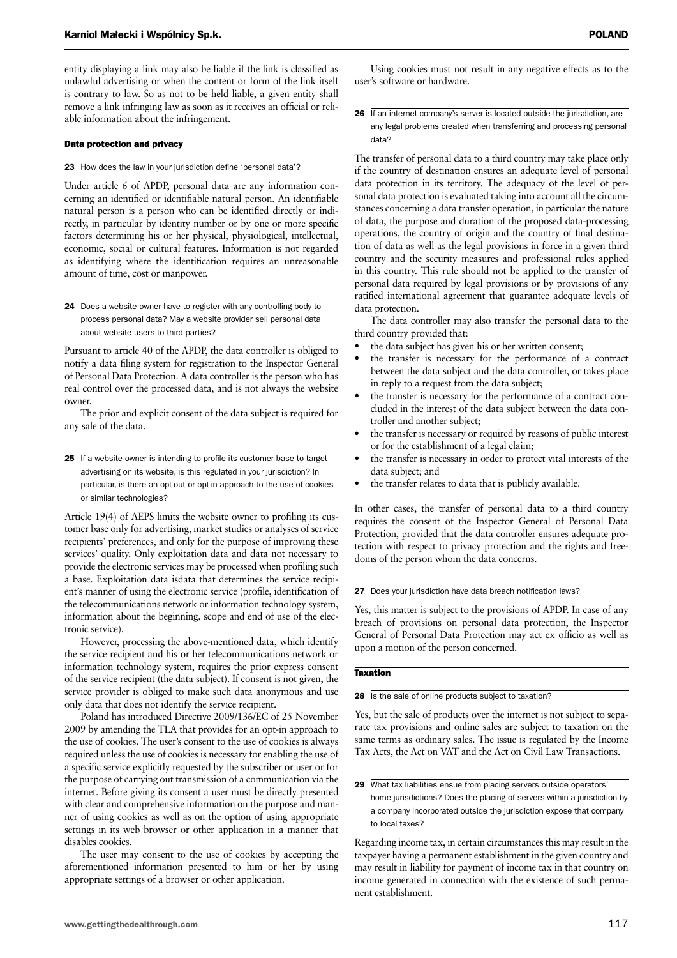entity displaying a link may also be liable if the link is classified as unlawful advertising or when the content or form of the link itself is contrary to law. So as not to be held liable, a given entity shall remove a link infringing law as soon as it receives an official or reliable information about the infringement.

#### Data protection and privacy

#### 23 How does the law in your jurisdiction define 'personal data'?

Under article 6 of APDP, personal data are any information concerning an identified or identifiable natural person. An identifiable natural person is a person who can be identified directly or indirectly, in particular by identity number or by one or more specific factors determining his or her physical, physiological, intellectual, economic, social or cultural features. Information is not regarded as identifying where the identification requires an unreasonable amount of time, cost or manpower.

24 Does a website owner have to register with any controlling body to process personal data? May a website provider sell personal data about website users to third parties?

Pursuant to article 40 of the APDP, the data controller is obliged to notify a data filing system for registration to the Inspector General of Personal Data Protection. A data controller is the person who has real control over the processed data, and is not always the website owner.

The prior and explicit consent of the data subject is required for any sale of the data.

25 If a website owner is intending to profile its customer base to target advertising on its website, is this regulated in your jurisdiction? In particular, is there an opt-out or opt-in approach to the use of cookies or similar technologies?

Article 19(4) of AEPS limits the website owner to profiling its customer base only for advertising, market studies or analyses of service recipients' preferences, and only for the purpose of improving these services' quality. Only exploitation data and data not necessary to provide the electronic services may be processed when profiling such a base. Exploitation data isdata that determines the service recipient's manner of using the electronic service (profile, identification of the telecommunications network or information technology system, information about the beginning, scope and end of use of the electronic service).

However, processing the above-mentioned data, which identify the service recipient and his or her telecommunications network or information technology system, requires the prior express consent of the service recipient (the data subject). If consent is not given, the service provider is obliged to make such data anonymous and use only data that does not identify the service recipient.

Poland has introduced Directive 2009/136/EC of 25 November 2009 by amending the TLA that provides for an opt-in approach to the use of cookies. The user's consent to the use of cookies is always required unless the use of cookies is necessary for enabling the use of a specific service explicitly requested by the subscriber or user or for the purpose of carrying out transmission of a communication via the internet. Before giving its consent a user must be directly presented with clear and comprehensive information on the purpose and manner of using cookies as well as on the option of using appropriate settings in its web browser or other application in a manner that disables cookies.

The user may consent to the use of cookies by accepting the aforementioned information presented to him or her by using appropriate settings of a browser or other application.

Using cookies must not result in any negative effects as to the user's software or hardware.

26 If an internet company's server is located outside the jurisdiction, are any legal problems created when transferring and processing personal data?

The transfer of personal data to a third country may take place only if the country of destination ensures an adequate level of personal data protection in its territory. The adequacy of the level of personal data protection is evaluated taking into account all the circumstances concerning a data transfer operation, in particular the nature of data, the purpose and duration of the proposed data-processing operations, the country of origin and the country of final destination of data as well as the legal provisions in force in a given third country and the security measures and professional rules applied in this country. This rule should not be applied to the transfer of personal data required by legal provisions or by provisions of any ratified international agreement that guarantee adequate levels of data protection.

The data controller may also transfer the personal data to the third country provided that:

- the data subject has given his or her written consent;
- the transfer is necessary for the performance of a contract between the data subject and the data controller, or takes place in reply to a request from the data subject;
- the transfer is necessary for the performance of a contract concluded in the interest of the data subject between the data controller and another subject;
- the transfer is necessary or required by reasons of public interest or for the establishment of a legal claim;
- the transfer is necessary in order to protect vital interests of the data subject; and
- the transfer relates to data that is publicly available.

In other cases, the transfer of personal data to a third country requires the consent of the Inspector General of Personal Data Protection, provided that the data controller ensures adequate protection with respect to privacy protection and the rights and freedoms of the person whom the data concerns.

#### 27 Does your jurisdiction have data breach notification laws?

Yes, this matter is subject to the provisions of APDP. In case of any breach of provisions on personal data protection, the Inspector General of Personal Data Protection may act ex officio as well as upon a motion of the person concerned.

#### **Taxation**

28 Is the sale of online products subject to taxation?

Yes, but the sale of products over the internet is not subject to separate tax provisions and online sales are subject to taxation on the same terms as ordinary sales. The issue is regulated by the Income Tax Acts, the Act on VAT and the Act on Civil Law Transactions.

29 What tax liabilities ensue from placing servers outside operators' home jurisdictions? Does the placing of servers within a jurisdiction by a company incorporated outside the jurisdiction expose that company to local taxes?

Regarding income tax, in certain circumstances this may result in the taxpayer having a permanent establishment in the given country and may result in liability for payment of income tax in that country on income generated in connection with the existence of such permanent establishment.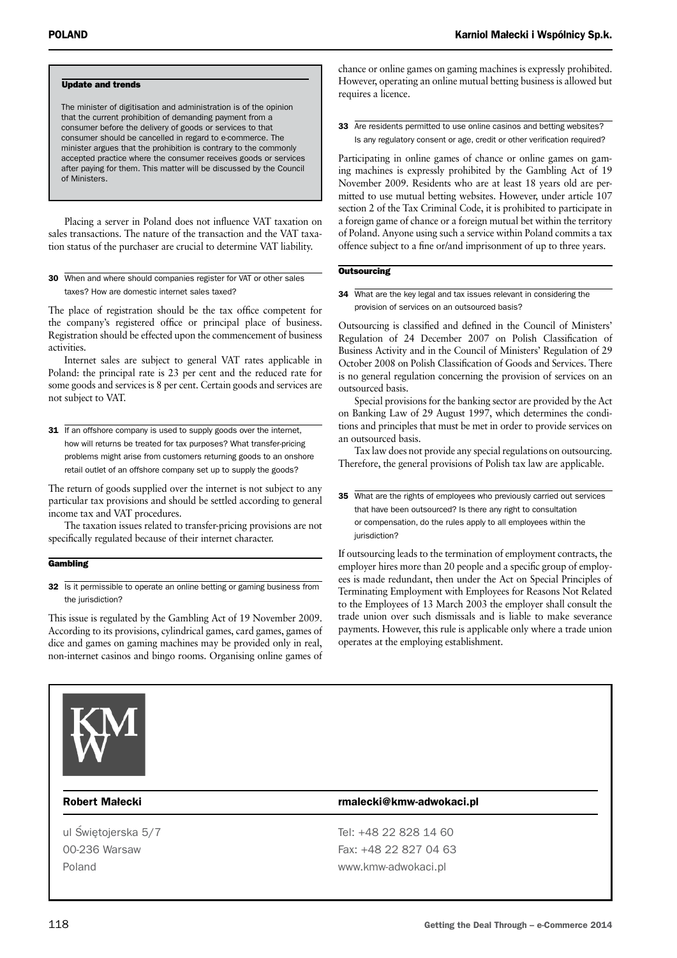#### Update and trends

The minister of digitisation and administration is of the opinion that the current prohibition of demanding payment from a consumer before the delivery of goods or services to that consumer should be cancelled in regard to e-commerce. The minister argues that the prohibition is contrary to the commonly accepted practice where the consumer receives goods or services after paying for them. This matter will be discussed by the Council of Ministers.

Placing a server in Poland does not influence VAT taxation on sales transactions. The nature of the transaction and the VAT taxation status of the purchaser are crucial to determine VAT liability.

30 When and where should companies register for VAT or other sales taxes? How are domestic internet sales taxed?

The place of registration should be the tax office competent for the company's registered office or principal place of business. Registration should be effected upon the commencement of business activities.

Internet sales are subject to general VAT rates applicable in Poland: the principal rate is 23 per cent and the reduced rate for some goods and services is 8 per cent. Certain goods and services are not subject to VAT.

31 If an offshore company is used to supply goods over the internet, how will returns be treated for tax purposes? What transfer-pricing problems might arise from customers returning goods to an onshore retail outlet of an offshore company set up to supply the goods?

The return of goods supplied over the internet is not subject to any particular tax provisions and should be settled according to general income tax and VAT procedures.

The taxation issues related to transfer-pricing provisions are not specifically regulated because of their internet character.

#### **Gambling**

32 Is it permissible to operate an online betting or gaming business from the jurisdiction?

This issue is regulated by the Gambling Act of 19 November 2009. According to its provisions, cylindrical games, card games, games of dice and games on gaming machines may be provided only in real, non-internet casinos and bingo rooms. Organising online games of chance or online games on gaming machines is expressly prohibited. However, operating an online mutual betting business is allowed but requires a licence.

33 Are residents permitted to use online casinos and betting websites? Is any regulatory consent or age, credit or other verification required?

Participating in online games of chance or online games on gaming machines is expressly prohibited by the Gambling Act of 19 November 2009. Residents who are at least 18 years old are permitted to use mutual betting websites. However, under article 107 section 2 of the Tax Criminal Code, it is prohibited to participate in a foreign game of chance or a foreign mutual bet within the territory of Poland. Anyone using such a service within Poland commits a tax offence subject to a fine or/and imprisonment of up to three years.

#### **Outsourcing**

34 What are the key legal and tax issues relevant in considering the provision of services on an outsourced basis?

Outsourcing is classified and defined in the Council of Ministers' Regulation of 24 December 2007 on Polish Classification of Business Activity and in the Council of Ministers' Regulation of 29 October 2008 on Polish Classification of Goods and Services. There is no general regulation concerning the provision of services on an outsourced basis.

Special provisions for the banking sector are provided by the Act on Banking Law of 29 August 1997, which determines the conditions and principles that must be met in order to provide services on an outsourced basis.

Tax law does not provide any special regulations on outsourcing. Therefore, the general provisions of Polish tax law are applicable.

35 What are the rights of employees who previously carried out services that have been outsourced? Is there any right to consultation or compensation, do the rules apply to all employees within the jurisdiction?

If outsourcing leads to the termination of employment contracts, the employer hires more than 20 people and a specific group of employees is made redundant, then under the Act on Special Principles of Terminating Employment with Employees for Reasons Not Related to the Employees of 13 March 2003 the employer shall consult the trade union over such dismissals and is liable to make severance payments. However, this rule is applicable only where a trade union operates at the employing establishment.



#### Robert Małecki **rmalecki** rmalecki@kmw-adwokaci.pl

ul Świetojerska 5/7 Tel: +48 22 828 14 60 00-236 Warsaw Fax: +48 22 827 04 63 Poland **by a contract www.kmw-adwokaci.pl**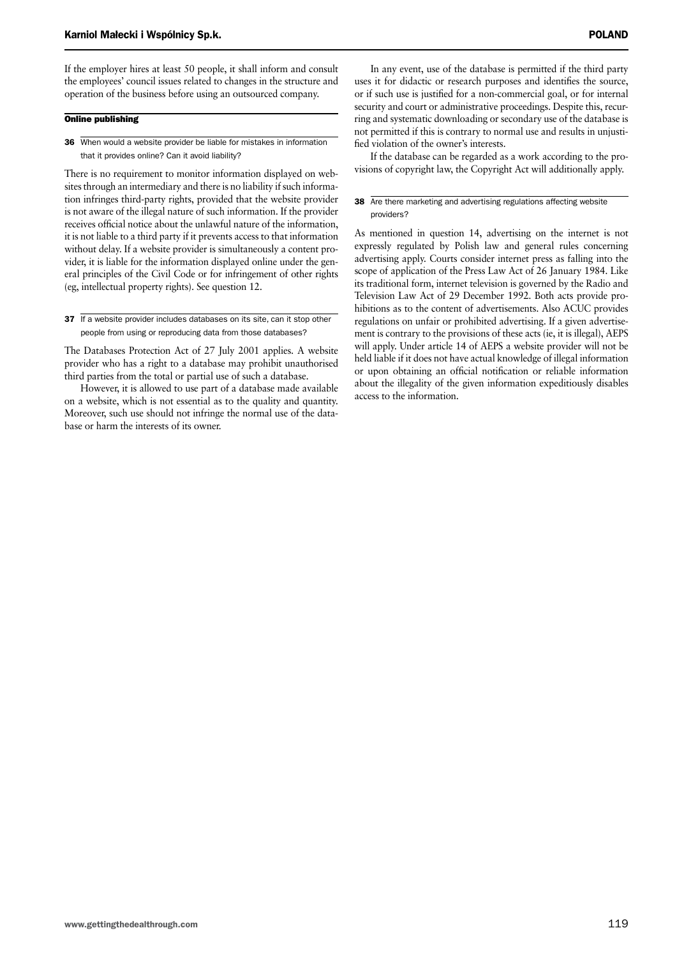If the employer hires at least 50 people, it shall inform and consult the employees' council issues related to changes in the structure and operation of the business before using an outsourced company.

#### Online publishing

36 When would a website provider be liable for mistakes in information that it provides online? Can it avoid liability?

There is no requirement to monitor information displayed on websites through an intermediary and there is no liability if such information infringes third-party rights, provided that the website provider is not aware of the illegal nature of such information. If the provider receives official notice about the unlawful nature of the information, it is not liable to a third party if it prevents access to that information without delay. If a website provider is simultaneously a content provider, it is liable for the information displayed online under the general principles of the Civil Code or for infringement of other rights (eg, intellectual property rights). See question 12.

37 If a website provider includes databases on its site, can it stop other people from using or reproducing data from those databases?

The Databases Protection Act of 27 July 2001 applies. A website provider who has a right to a database may prohibit unauthorised third parties from the total or partial use of such a database.

However, it is allowed to use part of a database made available on a website, which is not essential as to the quality and quantity. Moreover, such use should not infringe the normal use of the database or harm the interests of its owner.

In any event, use of the database is permitted if the third party uses it for didactic or research purposes and identifies the source, or if such use is justified for a non-commercial goal, or for internal security and court or administrative proceedings. Despite this, recurring and systematic downloading or secondary use of the database is not permitted if this is contrary to normal use and results in unjustified violation of the owner's interests.

If the database can be regarded as a work according to the provisions of copyright law, the Copyright Act will additionally apply.

#### 38 Are there marketing and advertising regulations affecting website providers?

As mentioned in question 14, advertising on the internet is not expressly regulated by Polish law and general rules concerning advertising apply. Courts consider internet press as falling into the scope of application of the Press Law Act of 26 January 1984. Like its traditional form, internet television is governed by the Radio and Television Law Act of 29 December 1992. Both acts provide prohibitions as to the content of advertisements. Also ACUC provides regulations on unfair or prohibited advertising. If a given advertisement is contrary to the provisions of these acts (ie, it is illegal), AEPS will apply. Under article 14 of AEPS a website provider will not be held liable if it does not have actual knowledge of illegal information or upon obtaining an official notification or reliable information about the illegality of the given information expeditiously disables access to the information.